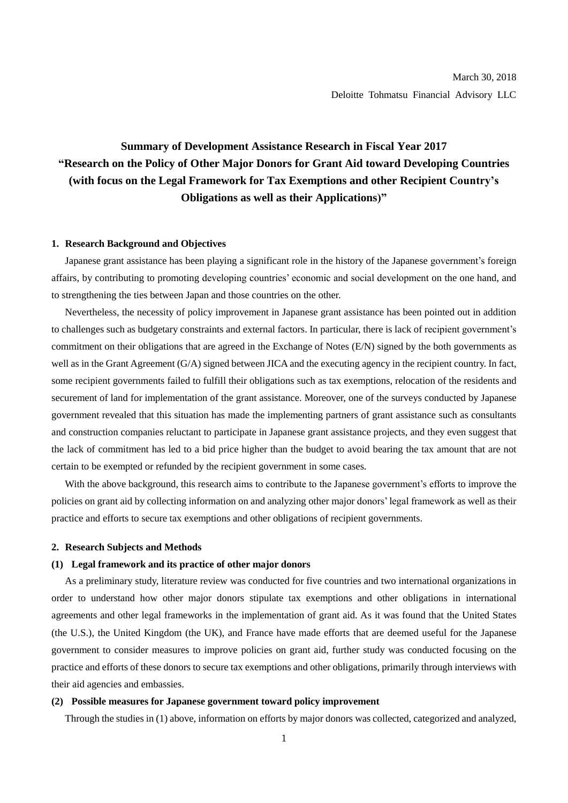# **Summary of Development Assistance Research in Fiscal Year 2017 "Research on the Policy of Other Major Donors for Grant Aid toward Developing Countries (with focus on the Legal Framework for Tax Exemptions and other Recipient Country's Obligations as well as their Applications)"**

#### **1. Research Background and Objectives**

Japanese grant assistance has been playing a significant role in the history of the Japanese government's foreign affairs, by contributing to promoting developing countries' economic and social development on the one hand, and to strengthening the ties between Japan and those countries on the other.

Nevertheless, the necessity of policy improvement in Japanese grant assistance has been pointed out in addition to challenges such as budgetary constraints and external factors. In particular, there is lack of recipient government's commitment on their obligations that are agreed in the Exchange of Notes (E/N) signed by the both governments as well as in the Grant Agreement (G/A) signed between JICA and the executing agency in the recipient country. In fact, some recipient governments failed to fulfill their obligations such as tax exemptions, relocation of the residents and securement of land for implementation of the grant assistance. Moreover, one of the surveys conducted by Japanese government revealed that this situation has made the implementing partners of grant assistance such as consultants and construction companies reluctant to participate in Japanese grant assistance projects, and they even suggest that the lack of commitment has led to a bid price higher than the budget to avoid bearing the tax amount that are not certain to be exempted or refunded by the recipient government in some cases.

With the above background, this research aims to contribute to the Japanese government's efforts to improve the policies on grant aid by collecting information on and analyzing other major donors' legal framework as well as their practice and efforts to secure tax exemptions and other obligations of recipient governments.

## **2. Research Subjects and Methods**

### **(1) Legal framework and its practice of other major donors**

As a preliminary study, literature review was conducted for five countries and two international organizations in order to understand how other major donors stipulate tax exemptions and other obligations in international agreements and other legal frameworks in the implementation of grant aid. As it was found that the United States (the U.S.), the United Kingdom (the UK), and France have made efforts that are deemed useful for the Japanese government to consider measures to improve policies on grant aid, further study was conducted focusing on the practice and efforts of these donors to secure tax exemptions and other obligations, primarily through interviews with their aid agencies and embassies.

## **(2) Possible measures for Japanese government toward policy improvement**

Through the studies in (1) above, information on efforts by major donors was collected, categorized and analyzed,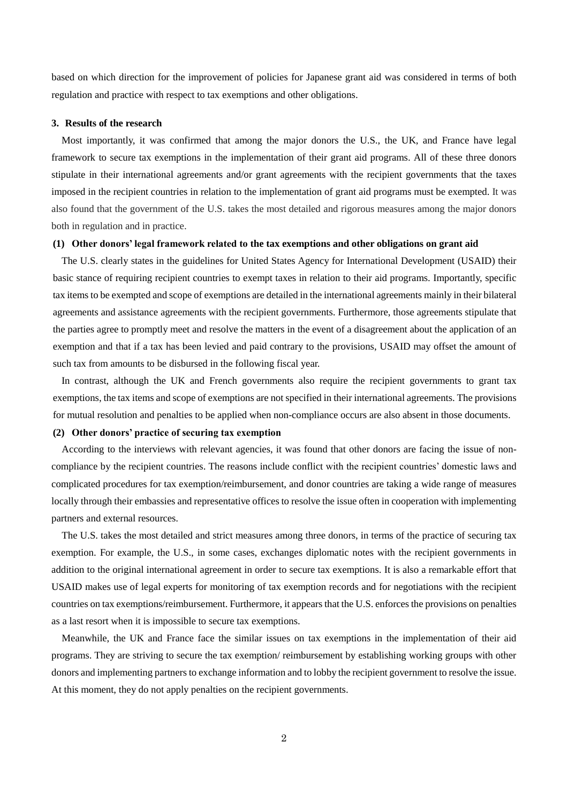based on which direction for the improvement of policies for Japanese grant aid was considered in terms of both regulation and practice with respect to tax exemptions and other obligations.

### **3. Results of the research**

Most importantly, it was confirmed that among the major donors the U.S., the UK, and France have legal framework to secure tax exemptions in the implementation of their grant aid programs. All of these three donors stipulate in their international agreements and/or grant agreements with the recipient governments that the taxes imposed in the recipient countries in relation to the implementation of grant aid programs must be exempted. It was also found that the government of the U.S. takes the most detailed and rigorous measures among the major donors both in regulation and in practice.

#### **(1) Other donors' legal framework related to the tax exemptions and other obligations on grant aid**

The U.S. clearly states in the guidelines for United States Agency for International Development (USAID) their basic stance of requiring recipient countries to exempt taxes in relation to their aid programs. Importantly, specific tax items to be exempted and scope of exemptions are detailed in the international agreements mainly in their bilateral agreements and assistance agreements with the recipient governments. Furthermore, those agreements stipulate that the parties agree to promptly meet and resolve the matters in the event of a disagreement about the application of an exemption and that if a tax has been levied and paid contrary to the provisions, USAID may offset the amount of such tax from amounts to be disbursed in the following fiscal year.

In contrast, although the UK and French governments also require the recipient governments to grant tax exemptions, the tax items and scope of exemptions are not specified in their international agreements. The provisions for mutual resolution and penalties to be applied when non-compliance occurs are also absent in those documents.

# **(2) Other donors' practice of securing tax exemption**

According to the interviews with relevant agencies, it was found that other donors are facing the issue of noncompliance by the recipient countries. The reasons include conflict with the recipient countries' domestic laws and complicated procedures for tax exemption/reimbursement, and donor countries are taking a wide range of measures locally through their embassies and representative offices to resolve the issue often in cooperation with implementing partners and external resources.

The U.S. takes the most detailed and strict measures among three donors, in terms of the practice of securing tax exemption. For example, the U.S., in some cases, exchanges diplomatic notes with the recipient governments in addition to the original international agreement in order to secure tax exemptions. It is also a remarkable effort that USAID makes use of legal experts for monitoring of tax exemption records and for negotiations with the recipient countries on tax exemptions/reimbursement. Furthermore, it appears that the U.S. enforces the provisions on penalties as a last resort when it is impossible to secure tax exemptions.

Meanwhile, the UK and France face the similar issues on tax exemptions in the implementation of their aid programs. They are striving to secure the tax exemption/ reimbursement by establishing working groups with other donors and implementing partners to exchange information and to lobby the recipient government to resolve the issue. At this moment, they do not apply penalties on the recipient governments.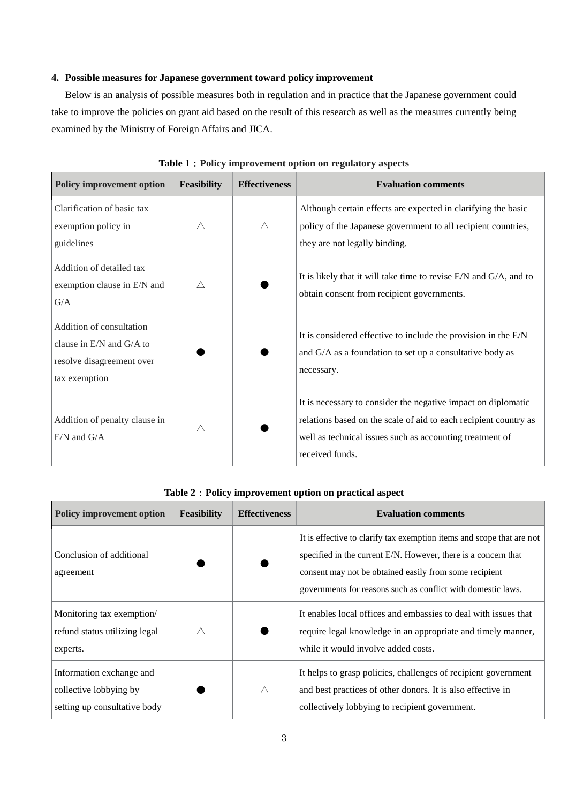## **4. Possible measures for Japanese government toward policy improvement**

Below is an analysis of possible measures both in regulation and in practice that the Japanese government could take to improve the policies on grant aid based on the result of this research as well as the measures currently being examined by the Ministry of Foreign Affairs and JICA.

| <b>Policy improvement option</b>                                                                   | <b>Feasibility</b> | <b>Effectiveness</b> | <b>Evaluation comments</b>                                                                                                                                                                                       |
|----------------------------------------------------------------------------------------------------|--------------------|----------------------|------------------------------------------------------------------------------------------------------------------------------------------------------------------------------------------------------------------|
| Clarification of basic tax<br>exemption policy in<br>guidelines                                    | Δ                  | Δ                    | Although certain effects are expected in clarifying the basic<br>policy of the Japanese government to all recipient countries,<br>they are not legally binding.                                                  |
| Addition of detailed tax<br>exemption clause in E/N and<br>G/A                                     | Δ                  |                      | It is likely that it will take time to revise $E/N$ and $G/A$ , and to<br>obtain consent from recipient governments.                                                                                             |
| Addition of consultation<br>clause in E/N and G/A to<br>resolve disagreement over<br>tax exemption |                    |                      | It is considered effective to include the provision in the $E/N$<br>and G/A as a foundation to set up a consultative body as<br>necessary.                                                                       |
| Addition of penalty clause in<br>$E/N$ and $G/A$                                                   | $\triangle$        |                      | It is necessary to consider the negative impact on diplomatic<br>relations based on the scale of aid to each recipient country as<br>well as technical issues such as accounting treatment of<br>received funds. |

**Table 1**:**Policy improvement option on regulatory aspects**

# **Table 2**:**Policy improvement option on practical aspect**

| <b>Policy improvement option</b>                                                   | <b>Feasibility</b> | <b>Effectiveness</b> | <b>Evaluation comments</b>                                                                                                                                                                                                                                        |
|------------------------------------------------------------------------------------|--------------------|----------------------|-------------------------------------------------------------------------------------------------------------------------------------------------------------------------------------------------------------------------------------------------------------------|
| Conclusion of additional<br>agreement                                              |                    |                      | It is effective to clarify tax exemption items and scope that are not<br>specified in the current E/N. However, there is a concern that<br>consent may not be obtained easily from some recipient<br>governments for reasons such as conflict with domestic laws. |
| Monitoring tax exemption/<br>refund status utilizing legal<br>experts.             | $\wedge$           |                      | It enables local offices and embassies to deal with issues that<br>require legal knowledge in an appropriate and timely manner,<br>while it would involve added costs.                                                                                            |
| Information exchange and<br>collective lobbying by<br>setting up consultative body |                    | $\triangle$          | It helps to grasp policies, challenges of recipient government<br>and best practices of other donors. It is also effective in<br>collectively lobbying to recipient government.                                                                                   |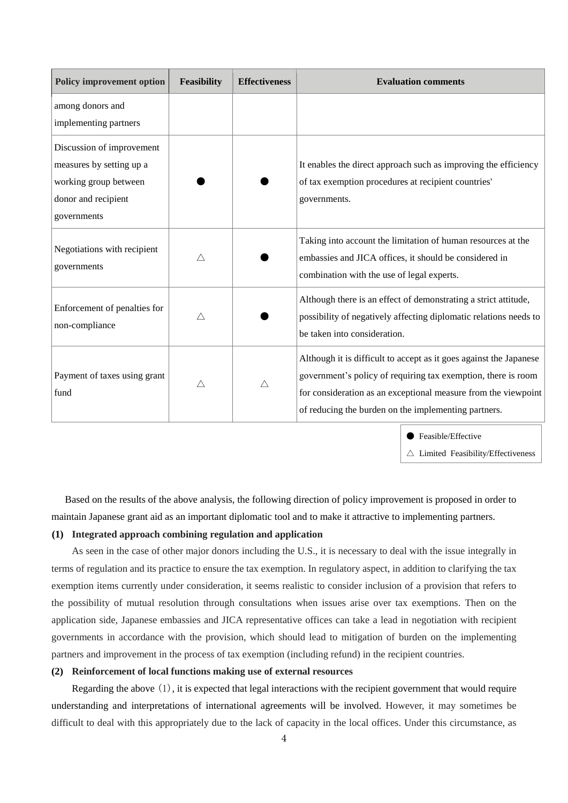| <b>Policy improvement option</b>                                                                                     | <b>Feasibility</b> | <b>Effectiveness</b> | <b>Evaluation comments</b>                                                                                                                                                                                                                                    |
|----------------------------------------------------------------------------------------------------------------------|--------------------|----------------------|---------------------------------------------------------------------------------------------------------------------------------------------------------------------------------------------------------------------------------------------------------------|
| among donors and<br>implementing partners                                                                            |                    |                      |                                                                                                                                                                                                                                                               |
| Discussion of improvement<br>measures by setting up a<br>working group between<br>donor and recipient<br>governments |                    |                      | It enables the direct approach such as improving the efficiency<br>of tax exemption procedures at recipient countries'<br>governments.                                                                                                                        |
| Negotiations with recipient<br>governments                                                                           | Δ                  |                      | Taking into account the limitation of human resources at the<br>embassies and JICA offices, it should be considered in<br>combination with the use of legal experts.                                                                                          |
| Enforcement of penalties for<br>non-compliance                                                                       | Δ                  |                      | Although there is an effect of demonstrating a strict attitude,<br>possibility of negatively affecting diplomatic relations needs to<br>be taken into consideration.                                                                                          |
| Payment of taxes using grant<br>fund                                                                                 | Δ                  | Δ                    | Although it is difficult to accept as it goes against the Japanese<br>government's policy of requiring tax exemption, there is room<br>for consideration as an exceptional measure from the viewpoint<br>of reducing the burden on the implementing partners. |

● Feasible/Effective

 $\triangle$  Limited Feasibility/Effectiveness

Based on the results of the above analysis, the following direction of policy improvement is proposed in order to maintain Japanese grant aid as an important diplomatic tool and to make it attractive to implementing partners.

# **(1) Integrated approach combining regulation and application**

As seen in the case of other major donors including the U.S., it is necessary to deal with the issue integrally in terms of regulation and its practice to ensure the tax exemption. In regulatory aspect, in addition to clarifying the tax exemption items currently under consideration, it seems realistic to consider inclusion of a provision that refers to the possibility of mutual resolution through consultations when issues arise over tax exemptions. Then on the application side, Japanese embassies and JICA representative offices can take a lead in negotiation with recipient governments in accordance with the provision, which should lead to mitigation of burden on the implementing partners and improvement in the process of tax exemption (including refund) in the recipient countries.

## **(2) Reinforcement of local functions making use of external resources**

Regarding the above (1), it is expected that legal interactions with the recipient government that would require understanding and interpretations of international agreements will be involved. However, it may sometimes be difficult to deal with this appropriately due to the lack of capacity in the local offices. Under this circumstance, as